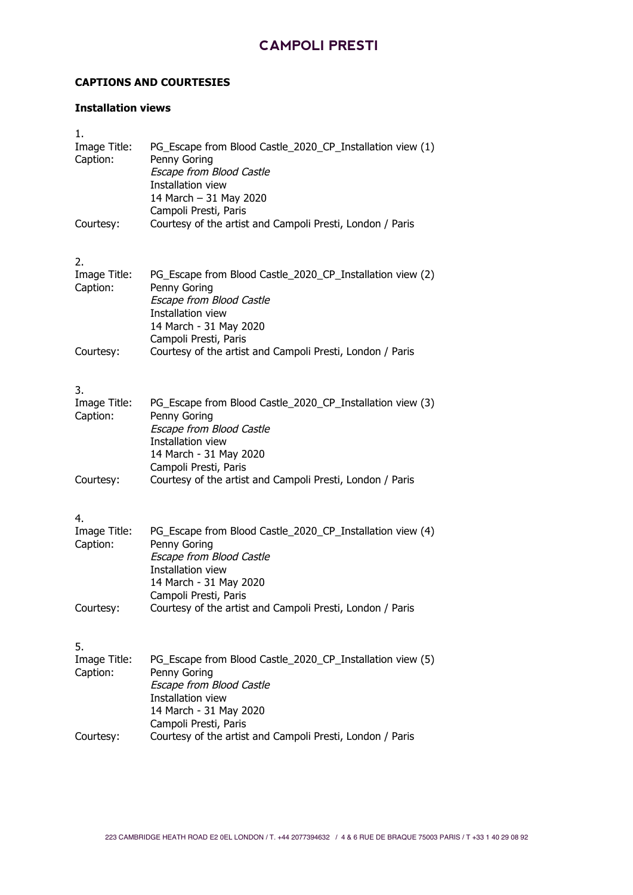#### **CAPTIONS AND COURTESIES**

#### **Installation views**

| 1.                             |                                                                                                                                                                                      |
|--------------------------------|--------------------------------------------------------------------------------------------------------------------------------------------------------------------------------------|
| Image Title:<br>Caption:       | PG_Escape from Blood Castle_2020_CP_Installation view (1)<br>Penny Goring<br>Escape from Blood Castle<br>Installation view<br>14 March - 31 May 2020<br>Campoli Presti, Paris        |
| Courtesy:                      | Courtesy of the artist and Campoli Presti, London / Paris                                                                                                                            |
| 2.<br>Image Title:<br>Caption: | PG_Escape from Blood Castle_2020_CP_Installation view (2)<br>Penny Goring<br>Escape from Blood Castle<br>Installation view<br>14 March - 31 May 2020<br>Campoli Presti, Paris        |
| Courtesy:                      | Courtesy of the artist and Campoli Presti, London / Paris                                                                                                                            |
| 3.<br>Image Title:<br>Caption: | PG_Escape from Blood Castle_2020_CP_Installation view (3)<br>Penny Goring<br><b>Escape from Blood Castle</b><br>Installation view<br>14 March - 31 May 2020<br>Campoli Presti, Paris |
| Courtesy:                      | Courtesy of the artist and Campoli Presti, London / Paris                                                                                                                            |
| 4.<br>Image Title:             | PG_Escape from Blood Castle_2020_CP_Installation view (4)                                                                                                                            |
| Caption:                       | Penny Goring<br>Escape from Blood Castle<br>Installation view<br>14 March - 31 May 2020<br>Campoli Presti, Paris                                                                     |
| Courtesy:                      | Courtesy of the artist and Campoli Presti, London / Paris                                                                                                                            |
| 5.                             |                                                                                                                                                                                      |
| Image Title:<br>Caption:       | PG_Escape from Blood Castle_2020_CP_Installation view (5)<br>Penny Goring<br>Escape from Blood Castle<br>Installation view<br>14 March - 31 May 2020<br>Campoli Presti, Paris        |
| Courtesy:                      | Courtesy of the artist and Campoli Presti, London / Paris                                                                                                                            |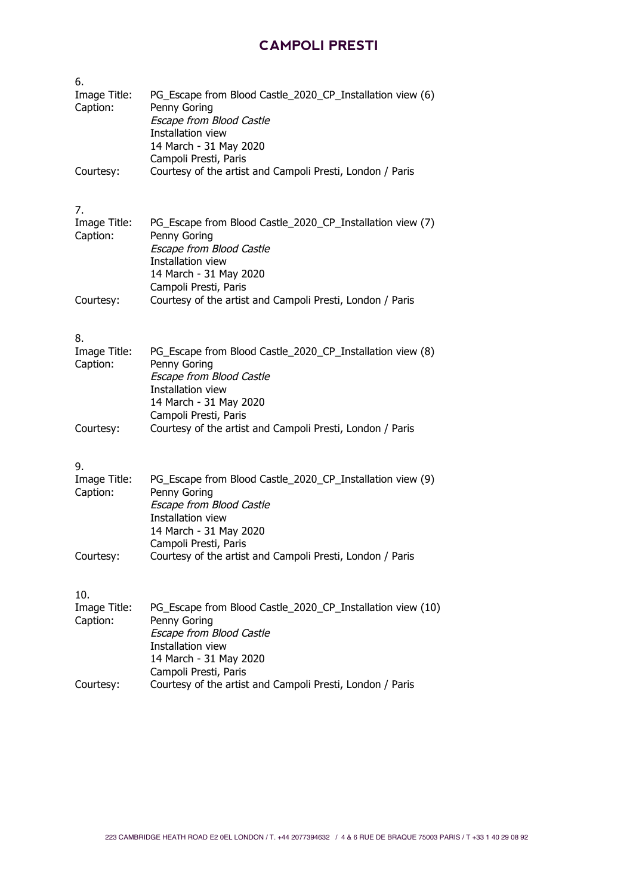| 6.                              |                                                                                                                                                                                       |
|---------------------------------|---------------------------------------------------------------------------------------------------------------------------------------------------------------------------------------|
| Image Title:<br>Caption:        | PG_Escape from Blood Castle_2020_CP_Installation view (6)<br>Penny Goring<br><b>Escape from Blood Castle</b><br>Installation view<br>14 March - 31 May 2020<br>Campoli Presti, Paris  |
| Courtesy:                       | Courtesy of the artist and Campoli Presti, London / Paris                                                                                                                             |
| 7.<br>Image Title:<br>Caption:  | PG_Escape from Blood Castle_2020_CP_Installation view (7)<br>Penny Goring<br>Escape from Blood Castle<br>Installation view<br>14 March - 31 May 2020<br>Campoli Presti, Paris         |
| Courtesy:                       | Courtesy of the artist and Campoli Presti, London / Paris                                                                                                                             |
| 8.<br>Image Title:<br>Caption:  | PG_Escape from Blood Castle_2020_CP_Installation view (8)<br>Penny Goring<br>Escape from Blood Castle<br>Installation view<br>14 March - 31 May 2020<br>Campoli Presti, Paris         |
| Courtesy:                       | Courtesy of the artist and Campoli Presti, London / Paris                                                                                                                             |
| 9.<br>Image Title:<br>Caption:  | PG_Escape from Blood Castle_2020_CP_Installation view (9)<br>Penny Goring<br><b>Escape from Blood Castle</b><br>Installation view<br>14 March - 31 May 2020<br>Campoli Presti, Paris  |
| Courtesy:                       | Courtesy of the artist and Campoli Presti, London / Paris                                                                                                                             |
| 10.<br>Image Title:<br>Caption: | PG_Escape from Blood Castle_2020_CP_Installation view (10)<br>Penny Goring<br><b>Escape from Blood Castle</b><br>Installation view<br>14 March - 31 May 2020<br>Campoli Presti, Paris |
| Courtesy:                       | Courtesy of the artist and Campoli Presti, London / Paris                                                                                                                             |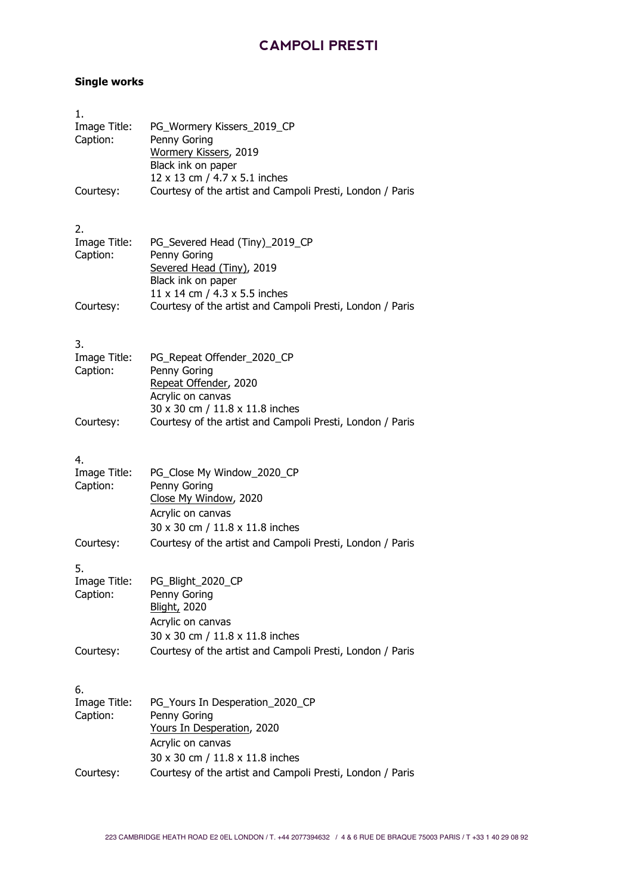#### **Single works**

| 1.<br>Image Title:<br>Caption: | PG_Wormery Kissers_2019_CP<br>Penny Goring<br>Wormery Kissers, 2019<br>Black ink on paper<br>12 x 13 cm / 4.7 x 5.1 inches            |
|--------------------------------|---------------------------------------------------------------------------------------------------------------------------------------|
| Courtesy:                      | Courtesy of the artist and Campoli Presti, London / Paris                                                                             |
| 2.<br>Image Title:<br>Caption: | PG_Severed Head (Tiny)_2019_CP<br>Penny Goring<br>Severed Head (Tiny), 2019<br>Black ink on paper<br>11 x 14 cm / 4.3 x 5.5 inches    |
| Courtesy:                      | Courtesy of the artist and Campoli Presti, London / Paris                                                                             |
| 3.<br>Image Title:<br>Caption: | PG_Repeat Offender_2020_CP<br>Penny Goring<br>Repeat Offender, 2020<br>Acrylic on canvas                                              |
| Courtesy:                      | 30 x 30 cm / 11.8 x 11.8 inches<br>Courtesy of the artist and Campoli Presti, London / Paris                                          |
| 4.<br>Image Title:<br>Caption: | PG_Close My Window_2020_CP<br>Penny Goring<br>Close My Window, 2020<br>Acrylic on canvas<br>30 x 30 cm / 11.8 x 11.8 inches           |
| Courtesy:                      | Courtesy of the artist and Campoli Presti, London / Paris                                                                             |
| 5.<br>Image Title:<br>Caption: | PG Blight 2020 CP<br>Penny Goring<br><b>Blight, 2020</b><br>Acrylic on canvas<br>30 x 30 cm / 11.8 x 11.8 inches                      |
| Courtesy:                      | Courtesy of the artist and Campoli Presti, London / Paris                                                                             |
| 6.<br>Image Title:<br>Caption: | PG_Yours In Desperation_2020_CP<br>Penny Goring<br>Yours In Desperation, 2020<br>Acrylic on canvas<br>30 x 30 cm / 11.8 x 11.8 inches |
| Courtesy:                      | Courtesy of the artist and Campoli Presti, London / Paris                                                                             |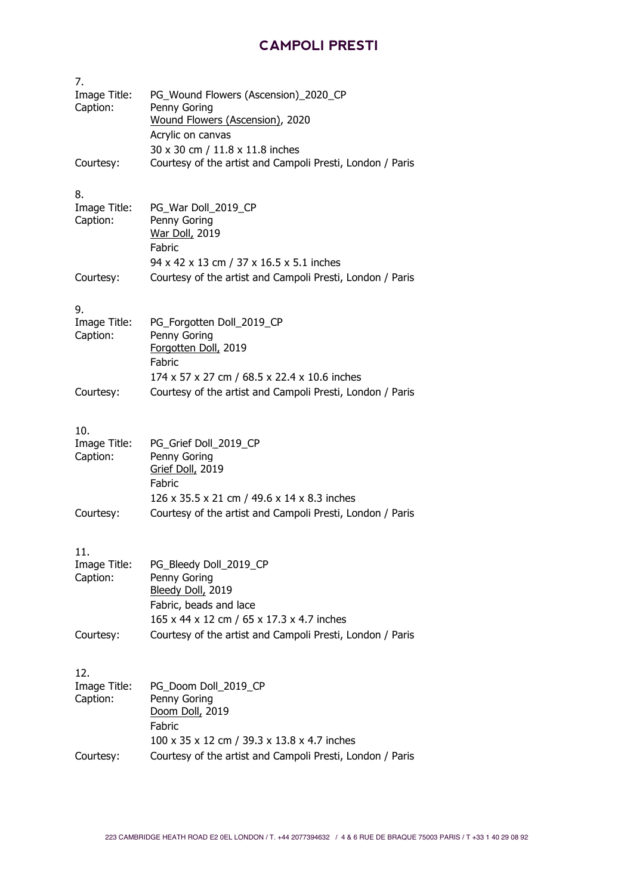| 7.                              |                                                                                                                                    |
|---------------------------------|------------------------------------------------------------------------------------------------------------------------------------|
| Image Title:<br>Caption:        | PG_Wound Flowers (Ascension)_2020_CP<br>Penny Goring<br>Wound Flowers (Ascension), 2020<br>Acrylic on canvas                       |
| Courtesy:                       | 30 x 30 cm / 11.8 x 11.8 inches<br>Courtesy of the artist and Campoli Presti, London / Paris                                       |
| 8.<br>Image Title:<br>Caption:  | PG War Doll 2019 CP<br>Penny Goring<br>War Doll, 2019<br>Fabric<br>94 x 42 x 13 cm / 37 x 16.5 x 5.1 inches                        |
| Courtesy:                       | Courtesy of the artist and Campoli Presti, London / Paris                                                                          |
| 9.<br>Image Title:<br>Caption:  | PG_Forgotten Doll_2019_CP<br>Penny Goring<br>Forgotten Doll, 2019<br>Fabric<br>174 x 57 x 27 cm / 68.5 x 22.4 x 10.6 inches        |
| Courtesy:                       | Courtesy of the artist and Campoli Presti, London / Paris                                                                          |
| 10.<br>Image Title:<br>Caption: | PG_Grief Doll_2019_CP<br>Penny Goring<br>Grief Doll, 2019<br>Fabric<br>126 x 35.5 x 21 cm / 49.6 x 14 x 8.3 inches                 |
| Courtesy:                       | Courtesy of the artist and Campoli Presti, London / Paris                                                                          |
| 11.<br>Image Title:<br>Caption: | PG_Bleedy Doll_2019_CP<br>Penny Goring<br>Bleedy Doll, 2019<br>Fabric, beads and lace<br>165 x 44 x 12 cm / 65 x 17.3 x 4.7 inches |
| Courtesy:                       | Courtesy of the artist and Campoli Presti, London / Paris                                                                          |
| 12.<br>Image Title:<br>Caption: | PG_Doom Doll_2019_CP<br>Penny Goring<br>Doom Doll, 2019<br>Fabric<br>100 x 35 x 12 cm / 39.3 x 13.8 x 4.7 inches                   |
| Courtesy:                       | Courtesy of the artist and Campoli Presti, London / Paris                                                                          |